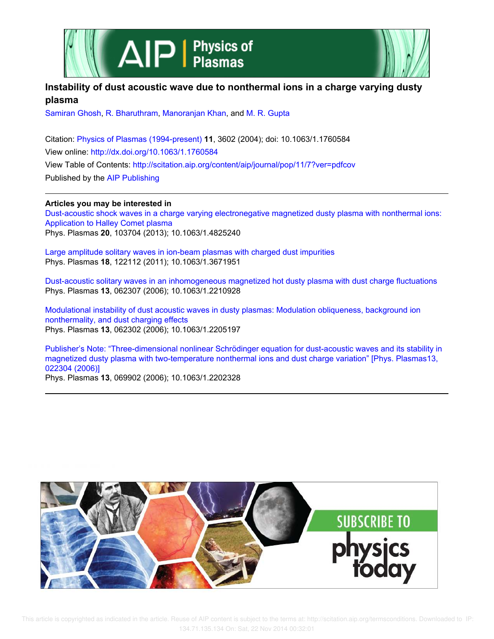



## **Instability of dust acoustic wave due to nonthermal ions in a charge varying dusty plasma**

Samiran Ghosh, R. Bharuthram, Manoranjan Khan, and M. R. Gupta

Citation: Physics of Plasmas (1994-present) **11**, 3602 (2004); doi: 10.1063/1.1760584 View online: http://dx.doi.org/10.1063/1.1760584 View Table of Contents: http://scitation.aip.org/content/aip/journal/pop/11/7?ver=pdfcov Published by the AIP Publishing

## **Articles you may be interested in**

Dust-acoustic shock waves in a charge varying electronegative magnetized dusty plasma with nonthermal ions: Application to Halley Comet plasma Phys. Plasmas **20**, 103704 (2013); 10.1063/1.4825240

Large amplitude solitary waves in ion-beam plasmas with charged dust impurities Phys. Plasmas **18**, 122112 (2011); 10.1063/1.3671951

Dust-acoustic solitary waves in an inhomogeneous magnetized hot dusty plasma with dust charge fluctuations Phys. Plasmas **13**, 062307 (2006); 10.1063/1.2210928

Modulational instability of dust acoustic waves in dusty plasmas: Modulation obliqueness, background ion nonthermality, and dust charging effects Phys. Plasmas **13**, 062302 (2006); 10.1063/1.2205197

Publisher's Note: "Three-dimensional nonlinear Schrödinger equation for dust-acoustic waves and its stability in magnetized dusty plasma with two-temperature nonthermal ions and dust charge variation" [Phys. Plasmas13, 022304 (2006)] Phys. Plasmas **13**, 069902 (2006); 10.1063/1.2202328

**SUBSCRIBE**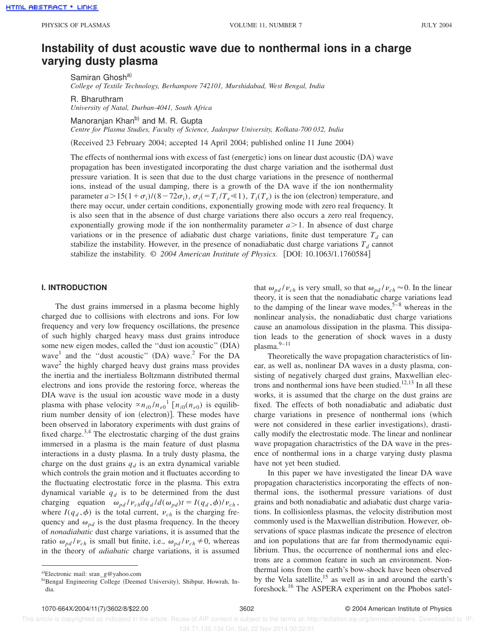<u>HTML ABSTRACT + LINKS</u>

# **Instability of dust acoustic wave due to nonthermal ions in a charge varying dusty plasma**

Samiran Ghosh<sup>a)</sup> *College of Textile Technology, Berhampore 742101, Murshidabad, West Bengal, India*

R. Bharuthram

*University of Natal, Durban-4041, South Africa*

Manoranjan Khan<sup>b)</sup> and M. R. Gupta

*Centre for Plasma Studies, Faculty of Science, Jadavpur University, Kolkata-700 032, India*

(Received 23 February 2004; accepted 14 April 2004; published online 11 June 2004)

The effects of nonthermal ions with excess of fast (energetic) ions on linear dust acoustic  $(DA)$  wave propagation has been investigated incorporating the dust charge variation and the isothermal dust pressure variation. It is seen that due to the dust charge variations in the presence of nonthermal ions, instead of the usual damping, there is a growth of the DA wave if the ion nonthermality parameter  $a > 15(1+\sigma_i)/(8-72\sigma_i)$ ,  $\sigma_i (= T_i/T_e \ll 1)$ ,  $T_i(T_e)$  is the ion (electron) temperature, and there may occur, under certain conditions, exponentially growing mode with zero real frequency. It is also seen that in the absence of dust charge variations there also occurs a zero real frequency, exponentially growing mode if the ion nonthermality parameter  $a > 1$ . In absence of dust charge variations or in the presence of adiabatic dust charge variations, finite dust temperature  $T_d$  can stabilize the instability. However, in the presence of nonadiabatic dust charge variations  $T_d$  cannot stabilize the instability.  $\odot$  2004 American Institute of Physics. [DOI: 10.1063/1.1760584]

### **I. INTRODUCTION**

The dust grains immersed in a plasma become highly charged due to collisions with electrons and ions. For low frequency and very low frequency oscillations, the presence of such highly charged heavy mass dust grains introduce some new eigen modes, called the "dust ion acoustic" (DIA) wave<sup>1</sup> and the "dust acoustic" (DA) wave.<sup>2</sup> For the DA wave<sup>2</sup> the highly charged heavy dust grains mass provides the inertia and the inertialess Boltzmann distributed thermal electrons and ions provide the restoring force, whereas the DIA wave is the usual ion acoustic wave mode in a dusty plasma with phase velocity  $\alpha n_{i0}/n_{e0}$ <sup>1</sup> [ $n_{i0}(n_{e0})$  is equilibrium number density of ion (electron)]. These modes have been observed in laboratory experiments with dust grains of fixed charge.<sup>3,4</sup> The electrostatic charging of the dust grains immersed in a plasma is the main feature of dust plasma interactions in a dusty plasma. In a truly dusty plasma, the charge on the dust grains  $q_d$  is an extra dynamical variable which controls the grain motion and it fluctuates according to the fluctuating electrostatic force in the plasma. This extra dynamical variable  $q_d$  is to be determined from the dust charging equation  $\omega_{pd}/v_{ch}dq_{d}/d(\omega_{pd})t = I(q_{d},\phi)/v_{ch}$ , where  $I(q_d, \phi)$  is the total current,  $v_{ch}$  is the charging frequency and  $\omega_{pd}$  is the dust plasma frequency. In the theory of *nonadiabatic* dust charge variations, it is assumed that the ratio  $\omega_{pd}/v_{ch}$  is small but finite, i.e.,  $\omega_{pd}/v_{ch} \neq 0$ , whereas in the theory of *adiabatic* charge variations, it is assumed that  $\omega_{pd}/v_{ch}$  is very small, so that  $\omega_{pd}/v_{ch} \approx 0$ . In the linear theory, it is seen that the nonadiabatic charge variations lead to the damping of the linear wave modes,  $5-8$  whereas in the nonlinear analysis, the nonadiabatic dust charge variations cause an anamolous dissipation in the plasma. This dissipation leads to the generation of shock waves in a dusty plasma.9–11

Theoretically the wave propagation characteristics of linear, as well as, nonlinear DA waves in a dusty plasma, consisting of negatively charged dust grains, Maxwellian electrons and nonthermal ions have been studied.<sup>12,13</sup> In all these works, it is assumed that the charge on the dust grains are fixed. The effects of both nonadiabatic and adiabatic dust charge variations in presence of nonthermal ions (which were not considered in these earlier investigations), drastically modify the electrostatic mode. The linear and nonlinear wave propagation charactristics of the DA wave in the presence of nonthermal ions in a charge varying dusty plasma have not yet been studied.

In this paper we have investigated the linear DA wave propagation characteristics incorporating the effects of nonthermal ions, the isothermal pressure variations of dust grains and both nonadiabatic and adiabatic dust charge variations. In collisionless plasmas, the velocity distribution most commonly used is the Maxwellian distribution. However, observations of space plasmas indicate the presence of electron and ion populations that are far from thermodynamic equilibrium. Thus, the occurrence of nonthermal ions and electrons are a common feature in such an environment. Nonthermal ions from the earth's bow-shock have been observed by the Vela satellite,<sup>15</sup> as well as in and around the earth's foreshock.<sup>16</sup> The ASPERA experiment on the Phobos satel-

a)Electronic mail:  $\text{stan}_{\mathbb{Z}} \mathcal{Q}$  yahoo.com

b)Bengal Engineering College (Deemed University), Shibpur, Howrah, India.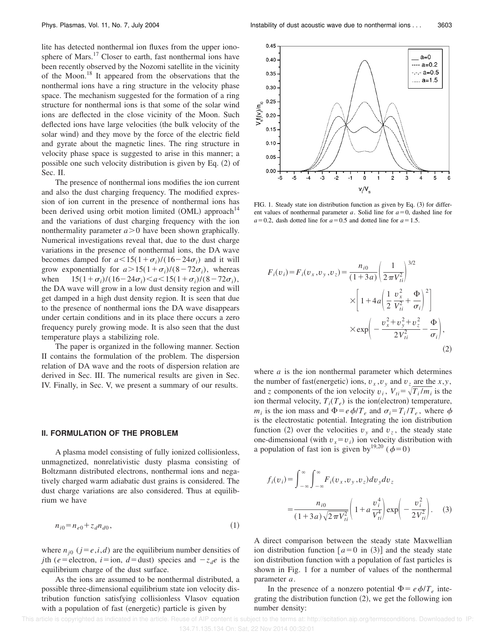lite has detected nonthermal ion fluxes from the upper ionosphere of Mars.<sup>17</sup> Closer to earth, fast nonthermal ions have been recently observed by the Nozomi satellite in the vicinity of the Moon.<sup>18</sup> It appeared from the observations that the nonthermal ions have a ring structure in the velocity phase space. The mechanism suggested for the formation of a ring structure for nonthermal ions is that some of the solar wind ions are deflected in the close vicinity of the Moon. Such deflected ions have large velocities (the bulk velocity of the solar wind) and they move by the force of the electric field and gyrate about the magnetic lines. The ring structure in velocity phase space is suggested to arise in this manner; a possible one such velocity distribution is given by Eq.  $(2)$  of Sec. II.

The presence of nonthermal ions modifies the ion current and also the dust charging frequency. The modified expression of ion current in the presence of nonthermal ions has been derived using orbit motion limited  $(OML)$  approach<sup>14</sup> and the variations of dust charging frequency with the ion nonthermality parameter  $a > 0$  have been shown graphically. Numerical investigations reveal that, due to the dust charge variations in the presence of nonthermal ions, the DA wave becomes damped for  $a < 15(1+\sigma_i)/(16-24\sigma_i)$  and it will grow exponentially for  $a > 15(1 + \sigma_i)/(8 - 72\sigma_i)$ , whereas when  $15(1+\sigma_i)/(16-24\sigma_i) < a < 15(1+\sigma_i)/(8-72\sigma_i)$ , the DA wave will grow in a low dust density region and will get damped in a high dust density region. It is seen that due to the presence of nonthermal ions the DA wave disappears under certain conditions and in its place there occurs a zero frequency purely growing mode. It is also seen that the dust temperature plays a stabilizing role.

The paper is organized in the following manner. Section II contains the formulation of the problem. The dispersion relation of DA wave and the roots of dispersion relation are derived in Sec. III. The numerical results are given in Sec. IV. Finally, in Sec. V, we present a summary of our results.

#### **II. FORMULATION OF THE PROBLEM**

A plasma model consisting of fully ionized collisionless, unmagnetized, nonrelativistic dusty plasma consisting of Boltzmann distributed electrons, nonthermal ions and negatively charged warm adiabatic dust grains is considered. The dust charge variations are also considered. Thus at equilibrium we have

$$
n_{i0} = n_{e0} + z_d n_{d0},\tag{1}
$$

where  $n_{j0}$  ( $j = e, i, d$ ) are the equilibrium number densities of *j*th (*e*=electron, *i*=ion, *d*=dust) species and  $-z_d e$  is the equilibrium charge of the dust surface.

As the ions are assumed to be nonthermal distributed, a possible three-dimensional equilibrium state ion velocity distribution function satisfying collisionless Vlasov equation with a population of fast (energetic) particle is given by



FIG. 1. Steady state ion distribution function as given by Eq.  $(3)$  for different values of nonthermal parameter  $a$ . Solid line for  $a=0$ , dashed line for  $a=0.2$ , dash dotted line for  $a=0.5$  and dotted line for  $a=1.5$ .

$$
F_i(v_i) = F_i(v_x, v_y, v_z) = \frac{n_{i0}}{(1+3a)} \left(\frac{1}{2\pi V_{ii}^2}\right)^{3/2}
$$
  
 
$$
\times \left[1 + 4a \left(\frac{1}{2}\frac{v_x^2}{V_{ii}^2} + \frac{\Phi}{\sigma_i}\right)^2\right]
$$
  
 
$$
\times \exp\left(-\frac{v_x^2 + v_y^2 + v_z^2}{2V_{ii}^2} - \frac{\Phi}{\sigma_i}\right),
$$
  
(2)

where *a* is the ion nonthermal parameter which determines the number of fast(energetic) ions,  $v_x$ ,  $v_y$  and  $v_z$  are the *x*,*y*, and *z* components of the ion velocity  $v_i$ ,  $V_{ti} = \sqrt{T_i/m_i}$  is the ion thermal velocity,  $T_i(T_e)$  is the ion(electron) temperature, *m<sub>i</sub>* is the ion mass and  $\Phi = e \phi / T_e$  and  $\sigma_i = T_i / T_e$ , where  $\phi$ is the electrostatic potential. Integrating the ion distribution function (2) over the velocities  $v_y$  and  $v_z$ , the steady state one-dimensional (with  $v_x = v_i$ ) ion velocity distribution with a population of fast ion is given by<sup>19,20</sup> ( $\phi=0$ )

$$
f_i(v_i) = \int_{-\infty}^{\infty} \int_{-\infty}^{\infty} F_i(v_x, v_y, v_z) dv_y dv_z
$$
  
= 
$$
\frac{n_{i0}}{(1 + 3a)\sqrt{2\pi V_{ti}^2}} \left(1 + a\frac{v_i^4}{V_{ti}^4}\right) \exp\left(-\frac{v_i^2}{2V_{ti}^2}\right).
$$
 (3)

A direct comparison between the steady state Maxwellian ion distribution function  $[a=0 \text{ in } (3)]$  and the steady state ion distribution function with a population of fast particles is shown in Fig. 1 for a number of values of the nonthermal parameter *a*.

In the presence of a nonzero potential  $\Phi = e \phi / T_e$  integrating the distribution function  $(2)$ , we get the following ion number density: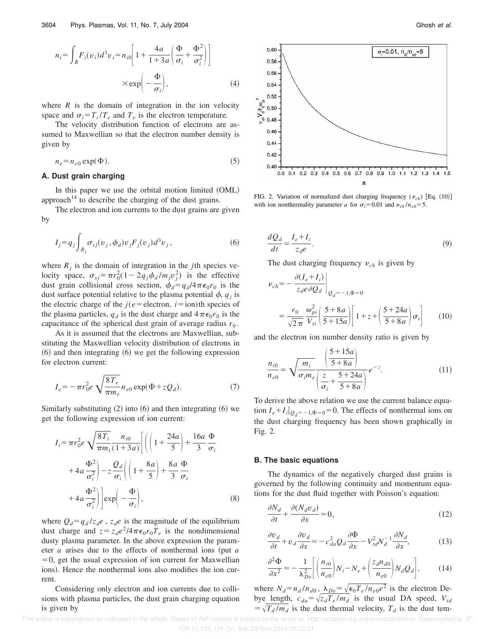$$
n_{i} = \int_{R} F_{i}(v_{i}) d^{3}v_{i} = n_{i0} \left[ 1 + \frac{4a}{1 + 3a} \left( \frac{\Phi}{\sigma_{i}} + \frac{\Phi^{2}}{\sigma_{i}^{2}} \right) \right]
$$

$$
\times \exp\left(-\frac{\Phi}{\sigma_{i}}\right), \qquad (4)
$$

where  $R$  is the domain of integration in the ion velocity space and  $\sigma_i = T_i / T_e$  and  $T_e$  is the electron temperature.

The velocity distribution function of electrons are assumed to Maxwellian so that the electron number density is given by

$$
n_e = n_{e0} \exp(\Phi). \tag{5}
$$

### **A. Dust grain charging**

In this paper we use the orbital motion limited (OML) approach<sup>14</sup> to describe the charging of the dust grains.

The electron and ion currents to the dust grains are given by

$$
I_j = q_j \int_{R_j} \sigma_{sj}(v_j, \phi_d) v_j F_j(v_j) d^3 v_j, \qquad (6)
$$

where  $R_j$  is the domain of integration in the *j*th species velocity space,  $\sigma_{sj} = \pi r_0^2 (1 - 2q_j \phi_d / m_j v_j^2)$  is the effective dust grain collisional cross section,  $\phi_d = q_d/4\pi\epsilon_0 r_0$  is the dust surface potential relative to the plasma potential  $\phi$ ,  $q_j$  is the electric charge of the  $j(e =$ electron,  $i =$ ion)th species of the plasma particles,  $q_d$  is the dust charge and  $4\pi\epsilon_0 r_0$  is the capacitance of the spherical dust grain of average radius  $r_0$ .

As it is assumed that the electrons are Maxwellian, substituting the Maxwellian velocity distribution of electrons in  $(6)$  and then integrating  $(6)$  we get the following expression for electron current:

$$
I_e = -\pi r_0^2 e \sqrt{\frac{8T_e}{\pi m_e}} n_{e0} \exp(\Phi + zQ_d).
$$
 (7)

Similarly substituting  $(2)$  into  $(6)$  and then integrating  $(6)$  we get the following expression of ion current:

$$
I_i = \pi r_0^2 e \sqrt{\frac{8T_i}{\pi m_i}} \frac{n_{i0}}{(1+3a)} \left[ \left( \left( 1 + \frac{24a}{5} \right) + \frac{16a}{3} \frac{\Phi}{\sigma_i} \right) \right]
$$

$$
+ 4a \frac{\Phi^2}{\sigma_i^2} \left| -z \frac{Q_d}{\sigma_i} \left( \left( 1 + \frac{8a}{5} \right) + \frac{8a}{3} \frac{\Phi}{\sigma_i} \right) \right|
$$

$$
+ 4a \frac{\Phi^2}{\sigma_i^2} \left| \exp \left( -\frac{\Phi}{\sigma_i} \right) \right|, \tag{8}
$$

where  $Q_d = q_d / z_d e$ ,  $z_d e$  is the magnitude of the equilibrium dust charge and  $z = z_d e^2/4\pi\epsilon_0 r_0 T_e$  is the nondimensional dusty plasma parameter. In the above expression the parameter  $a$  arises due to the effects of nonthermal ions (put  $a$  $=0$ , get the usual expression of ion current for Maxwellian ions). Hence the nonthermal ions also modifies the ion current.

Considering only electron and ion currents due to collisions with plasma particles, the dust grain charging equation is given by



FIG. 2. Variation of normalized dust charging frequency ( $v_{ch}$ ) [Eq. (10)] with ion nonthermality parameter *a* for  $\sigma_i = 0.01$  and  $n_{i0}/n_{e0} = 5$ .

$$
\frac{dQ_d}{dt} = \frac{I_e + I_i}{z_d e}.
$$
\n(9)

The dust charging frequency  $v_{ch}$  is given by

$$
\nu_{ch} = -\frac{\partial (I_e + I_i)}{z_d e \partial Q_d} \bigg|_{Q_d = -1, \Phi = 0}
$$
  
= 
$$
\frac{r_0}{\sqrt{2\pi}} \frac{\omega_{pi}^2}{V_{ti}} \bigg( \frac{5 + 8a}{5 + 15a} \bigg) \bigg[ 1 + z + \bigg( \frac{5 + 24a}{5 + 8a} \bigg) \sigma_i \bigg]
$$
(10)

and the electron ion number density ratio is given by

$$
\frac{n_{i0}}{n_{e0}} = \sqrt{\frac{m_i}{\sigma_i m_e}} \frac{\left(\frac{5+15a}{5+8a}\right)}{\left(\frac{z}{\sigma_i} + \frac{5+24a}{5+8a}\right)} e^{-z}.
$$
\n(11)

To derive the above relation we use the current balance equation  $I_e + I_i|_{Q_d = -1, \Phi = 0} = 0$ . The effects of nonthermal ions on the dust charging frequency has been shown graphically in Fig. 2.

#### **B. The basic equations**

The dynamics of the negatively charged dust grains is governed by the following continuity and momentum equations for the dust fluid together with Poisson's equation:

$$
\frac{\partial N_d}{\partial t} + \frac{\partial (N_d v_d)}{\partial x} = 0,\tag{12}
$$

$$
\frac{\partial v_d}{\partial t} + v_d \frac{\partial v_d}{\partial x} = -c_{da}^2 Q_d \frac{\partial \Phi}{\partial x} - V_{td}^2 N_d^{-1} \frac{\partial N_d}{\partial x},\tag{13}
$$

$$
\frac{\partial^2 \Phi}{\partial x^2} = -\frac{1}{\lambda_{De}^2} \left[ \left( \frac{n_{i0}}{n_{e0}} \right) N_i - N_e + \left( \frac{z_d n_{d0}}{n_{e0}} \right) N_d Q_d \right],\tag{14}
$$

where  $N_d = n_d/n_{d0}$ ,  $\lambda_{De} = \sqrt{\epsilon_0 T_e/n_{e0}e^2}$  is the electron Debye length,  $c_{da} = \sqrt{z_d T_e / m_d}$  is the usual DA speed,  $V_{td}$  $=\sqrt{T_d/m_d}$  is the dust thermal velocity,  $T_d$  is the dust tem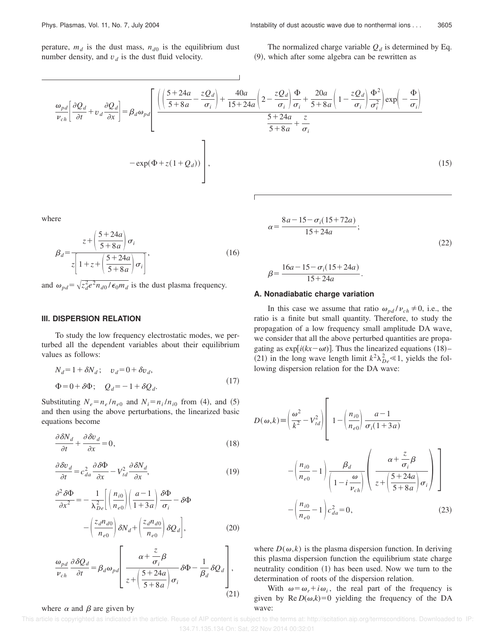perature,  $m_d$  is the dust mass,  $n_{d0}$  is the equilibrium dust number density, and  $v_d$  is the dust fluid velocity.

The normalized charge variable  $Q_d$  is determined by Eq.  $(9)$ , which after some algebra can be rewritten as

$$
\frac{\omega_{pd}}{v_{ch}} \left[ \frac{\partial Q_d}{\partial t} + v_d \frac{\partial Q_d}{\partial x} \right] = \beta_d \omega_{pd} \left[ \frac{\left( \left( \frac{5 + 24a}{5 + 8a} - \frac{zQ_d}{\sigma_i} \right) + \frac{40a}{15 + 24a} \left( 2 - \frac{zQ_d}{\sigma_i} \right) \frac{\Phi}{\sigma_i} + \frac{20a}{5 + 8a} \left( 1 - \frac{zQ_d}{\sigma_i} \right) \frac{\Phi^2}{\sigma_i^2} \right) \exp\left( -\frac{\Phi}{\sigma_i} \right)}{\frac{5 + 24a}{5 + 8a} + \frac{z}{\sigma_i}} - \exp(\Phi + z(1 + Q_d)) \right],
$$
\n(15)

where

$$
\beta_d = \frac{z + \left(\frac{5 + 24a}{5 + 8a}\right)\sigma_i}{z \left[1 + z + \left(\frac{5 + 24a}{5 + 8a}\right)\sigma_i\right]},
$$
\n(16)

and  $\omega_{pd} = \sqrt{z_d^2 e^2 n_{d0} / \epsilon_0 m_d}$  is the dust plasma frequency.

## **III. DISPERSION RELATION**

To study the low frequency electrostatic modes, we perturbed all the dependent variables about their equilibrium values as follows:

$$
N_d = 1 + \delta N_d; \quad v_d = 0 + \delta v_d,
$$
  
\n
$$
\Phi = 0 + \delta \Phi; \quad Q_d = -1 + \delta Q_d.
$$
\n(17)

Substituting  $N_e = n_e / n_{e0}$  and  $N_i = n_i / n_{i0}$  from (4), and (5) and then using the above perturbations, the linearized basic equations become

$$
\frac{\partial \delta N_d}{\partial t} + \frac{\partial \delta v_d}{\partial x} = 0,\tag{18}
$$

$$
\frac{\partial \delta v_d}{\partial t} = c_{da}^2 \frac{\partial \delta \Phi}{\partial x} - V_{td}^2 \frac{\partial \delta N_d}{\partial x},\tag{19}
$$

$$
\frac{\partial^2 \delta \Phi}{\partial x^2} = -\frac{1}{\lambda_{De}^2} \left[ \left( \frac{n_{i0}}{n_{e0}} \right) \left( \frac{a-1}{1+3a} \right) \frac{\delta \Phi}{\sigma_i} - \delta \Phi \right] -\left( \frac{z_d n_{d0}}{n_{e0}} \right) \delta N_d + \left( \frac{z_d n_{d0}}{n_{e0}} \right) \delta Q_d \right],
$$
(20)

$$
\frac{\omega_{pd}}{\nu_{ch}} \frac{\partial \delta Q_d}{\partial t} = \beta_d \omega_{pd} \left[ \frac{\alpha + \frac{z}{\sigma_i} \beta}{z + \left(\frac{5 + 24a}{5 + 8a}\right) \sigma_i} \delta \Phi - \frac{1}{\beta_d} \delta Q_d \right],
$$
\n(21)

#### where  $\alpha$  and  $\beta$  are given by

$$
\alpha = \frac{8a - 15 - \sigma_i(15 + 72a)}{15 + 24a};
$$
\n(22)

$$
\beta = \frac{16a - 15 - \sigma_i(15 + 24a)}{15 + 24a}.
$$

#### **A. Nonadiabatic charge variation**

In this case we assume that ratio  $\omega_{pd}/v_{ch} \neq 0$ , i.e., the ratio is a finite but small quantity. Therefore, to study the propagation of a low frequency small amplitude DA wave, we consider that all the above perturbed quantities are propagating as  $\exp[i(kx-\omega t)]$ . Thus the linearized equations (18)– (21) in the long wave length limit  $k^2\lambda_{De}^2 \ll 1$ , yields the following dispersion relation for the DA wave:

$$
D(\omega, k) \equiv \left(\frac{\omega^2}{k^2} - V_{td}^2\right) \left[1 - \left(\frac{n_{i0}}{n_{e0}}\right) \frac{a-1}{\sigma_i(1+3a)}\right]
$$

$$
- \left(\frac{n_{i0}}{n_{e0}} - 1\right) \frac{\beta_d}{\left(1 - i \frac{\omega}{\nu_{ch}}\right)} \left(\frac{\alpha + \frac{z}{\sigma_i} \beta}{z + \left(\frac{5+24a}{5+8a}\right) \sigma_i}\right)
$$

$$
- \left(\frac{n_{i0}}{n_{e0}} - 1\right) c_{da}^2 = 0,
$$
(23)

where  $D(\omega, k)$  is the plasma dispersion function. In deriving this plasma dispersion function the equilibrium state charge neutrality condition  $(1)$  has been used. Now we turn to the determination of roots of the dispersion relation.

With  $\omega = \omega_r + i \omega_i$ , the real part of the frequency is given by  $\text{Re } D(\omega, k) = 0$  yielding the frequency of the DA wave: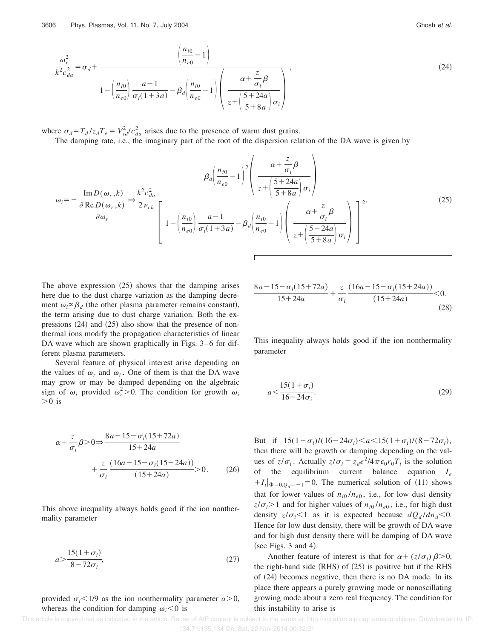$$
\frac{\omega_r^2}{k^2 c_{da}^2} = \sigma_d + \frac{\left(\frac{n_{i0}}{n_{e0}} - 1\right)}{1 - \left(\frac{n_{i0}}{n_{e0}}\right) \frac{a - 1}{\sigma_i (1 + 3a)} - \beta_d \left(\frac{n_{i0}}{n_{e0}} - 1\right)} \left(\frac{\alpha + \frac{z}{\sigma_i} \beta}{z + \left(\frac{5 + 24a}{5 + 8a}\right) \sigma_i}\right),\tag{24}
$$

where  $\sigma_d = T_d/z_dT_e = V_{td}^2/c_{da}^2$  arises due to the presence of warm dust grains.

The damping rate, i.e., the imaginary part of the root of the dispersion relation of the DA wave is given by

$$
\omega_{i} = -\frac{\text{Im } D(\omega_{r}, k)}{\frac{\partial \text{Re } D(\omega_{r}, k)}{\partial \omega_{r}}} \Rightarrow \frac{k^{2}c_{da}^{2}}{2\nu_{ch}} \frac{\left(1 - \left(\frac{n_{i0}}{n_{e0}}\right) \frac{a - 1}{\sigma_{i}(1 + 3a)} - \beta_{d}\left(\frac{n_{i0}}{n_{e0}} - 1\right)\right)^{2}}{\left(1 - \left(\frac{n_{i0}}{n_{e0}}\right) \frac{a - 1}{\sigma_{i}(1 + 3a)} - \beta_{d}\left(\frac{n_{i0}}{n_{e0}} - 1\right)\right) \left(\frac{\alpha + \frac{z}{\sigma_{i}}\beta}{z + \left(\frac{5 + 24a}{5 + 8a}\right)\sigma_{i}}\right)^{2}}.
$$
\n(25)

The above expression  $(25)$  shows that the damping arises here due to the dust charge variation as the damping decrement  $\omega_i \propto \beta_d$  (the other plasma parameter remains constant), the term arising due to dust charge variation. Both the expressions  $(24)$  and  $(25)$  also show that the presence of nonthermal ions modify the propagation characteristics of linear DA wave which are shown graphically in Figs. 3–6 for different plasma parameters.

Several feature of physical interest arise depending on the values of  $\omega_r$  and  $\omega_i$ . One of them is that the DA wave may grow or may be damped depending on the algebraic sign of  $\omega_i$  provided  $\omega_i^2 > 0$ . The condition for growth  $\omega_i$  $>0$  is

$$
\alpha + \frac{z}{\sigma_i} \beta > 0 \Rightarrow \frac{8a - 15 - \sigma_i (15 + 72a)}{15 + 24a} + \frac{z}{\sigma_i} \frac{(16a - 15 - \sigma_i (15 + 24a))}{(15 + 24a)} > 0.
$$
 (26)

This above inequality always holds good if the ion nonthermality parameter

$$
a > \frac{15(1+\sigma_i)}{8-72\sigma_i},\tag{27}
$$

provided  $\sigma_i$ <1/9 as the ion nonthermality parameter  $a > 0$ , whereas the condition for damping  $\omega_i$ <0 is

$$
\frac{8a-15-\sigma_i(15+72a)}{15+24a} + \frac{z}{\sigma_i} \frac{(16a-15-\sigma_i(15+24a))}{(15+24a)} < 0.
$$
\n(28)

This inequality always holds good if the ion nonthermality parameter

$$
a \le \frac{15(1+\sigma_i)}{16 - 24\sigma_i}.
$$
 (29)

But if  $15(1+\sigma_i)/(16-24\sigma_i) < a < 15(1+\sigma_i)/(8-72\sigma_i)$ , then there will be growth or damping depending on the values of  $z/\sigma_i$ . Actually  $z/\sigma_i = z_d e^2/4\pi\epsilon_0 r_0 T_i$  is the solution of the equilibrium current balance equation *I <sup>e</sup>*  $+I_i|_{\Phi=0,Q_d=-1}=0$ . The numerical solution of (11) shows that for lower values of  $n_{i0}/n_{e0}$ , i.e., for low dust density  $z/\sigma_i$  i.e., for higher values of  $n_{i0}/n_{e0}$ , i.e., for high dust density  $z/\sigma_i$ <1 as it is expected because  $dQ_d/dn_d$ <0. Hence for low dust density, there will be growth of DA wave and for high dust density there will be damping of DA wave (see Figs. 3 and 4).

Another feature of interest is that for  $\alpha + (z/\sigma_i) \beta > 0$ , the right-hand side  $(RHS)$  of  $(25)$  is positive but if the RHS of  $(24)$  becomes negative, then there is no DA mode. In its place there appears a purely growing mode or nonoscillating growing mode about a zero real frequency. The condition for this instability to arise is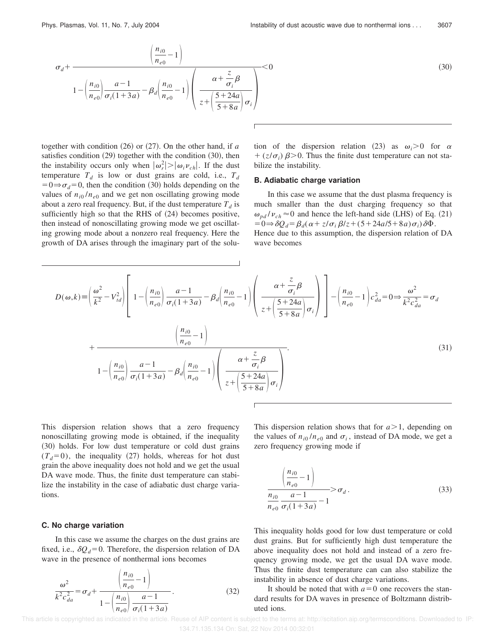$$
\sigma_d + \frac{\left(\frac{n_{i0}}{n_{e0}} - 1\right)}{1 - \left(\frac{n_{i0}}{n_{e0}}\right)\frac{a - 1}{\sigma_i(1 + 3a)} - \beta_d \left(\frac{n_{i0}}{n_{e0}} - 1\right)} \left(\frac{\alpha + \frac{z}{\sigma_i}\beta}{z + \left(\frac{5 + 24a}{5 + 8a}\right)\sigma_i}\right) \tag{30}
$$

together with condition  $(26)$  or  $(27)$ . On the other hand, if *a* satisfies condition  $(29)$  together with the condition  $(30)$ , then the instability occurs only when  $|\omega_r^2| > |\omega_i \nu_{ch}|$ . If the dust temperature  $T_d$  is low or dust grains are cold, i.e.,  $T_d$  $=0 \Rightarrow \sigma_d=0$ , then the condition (30) holds depending on the values of  $n_{i0}/n_{e0}$  and we get non oscillating growing mode about a zero real frequency. But, if the dust temperature  $T_d$  is sufficiently high so that the RHS of  $(24)$  becomes positive, then instead of nonoscillating growing mode we get oscillating growing mode about a nonzero real frequency. Here the growth of DA arises through the imaginary part of the solution of the dispersion relation (23) as  $\omega_i > 0$  for  $\alpha$  $+(z/\sigma_i)\beta$ >0. Thus the finite dust temperature can not stabilize the instability.

### **B. Adiabatic charge variation**

In this case we assume that the dust plasma frequency is much smaller than the dust charging frequency so that  $\omega_{nd}$  / $v_{ch}$   $\approx$  0 and hence the left-hand side (LHS) of Eq. (21)  $=0 \Rightarrow \delta Q_d = \beta_d (\alpha + z/\sigma_i \beta/z + (5 + 24a/5 + 8a)\sigma_i) \delta \Phi.$ Hence due to this assumption, the dispersion relation of DA wave becomes

$$
D(\omega,k) \equiv \left(\frac{\omega^2}{k^2} - V_{td}^2\right) \left[1 - \left(\frac{n_{i0}}{n_{e0}}\right) \frac{a-1}{\sigma_i(1+3a)} - \beta_d \left(\frac{n_{i0}}{n_{e0}} - 1\right) \left(\frac{\alpha + \frac{z}{\sigma_i} \beta}{z + \left(\frac{5+24a}{5+8a}\right) \sigma_i}\right)\right] - \left(\frac{n_{i0}}{n_{e0}} - 1\right) c_{da}^2 = 0 \Rightarrow \frac{\omega^2}{k^2 c_{da}^2} = \sigma_d
$$
\n
$$
1 - \left(\frac{n_{i0}}{n_{e0}}\right) \frac{a-1}{\sigma_i(1+3a)} - \beta_d \left(\frac{n_{i0}}{n_{e0}} - 1\right) \left(\frac{\alpha + \frac{z}{\sigma_i} \beta}{z + \left(\frac{5+24a}{5+8a}\right) \sigma_i}\right).
$$
\n(31)

This dispersion relation shows that a zero frequency nonoscillating growing mode is obtained, if the inequality (30) holds. For low dust temperature or cold dust grains  $(T_d=0)$ , the inequality (27) holds, whereas for hot dust grain the above inequality does not hold and we get the usual DA wave mode. Thus, the finite dust temperature can stabilize the instability in the case of adiabatic dust charge variations.

#### **C. No charge variation**

In this case we assume the charges on the dust grains are fixed, i.e.,  $\delta Q_d = 0$ . Therefore, the dispersion relation of DA wave in the presence of nonthermal ions becomes

$$
\frac{\omega^2}{k^2 c_{da}^2} = \sigma_d + \frac{\left(\frac{n_{i0}}{n_{e0}} - 1\right)}{1 - \left(\frac{n_{i0}}{n_{e0}}\right) \frac{a - 1}{\sigma_i (1 + 3a)}}.
$$
(32)

This dispersion relation shows that for  $a > 1$ , depending on the values of  $n_{i0}/n_{e0}$  and  $\sigma_i$ , instead of DA mode, we get a zero frequency growing mode if

$$
\frac{\left(\frac{n_{i0}}{n_{e0}}-1\right)}{\frac{n_{i0}}{n_{e0}}\frac{a-1}{\sigma_i(1+3a)}-1} > \sigma_d.
$$
\n(33)

This inequality holds good for low dust temperature or cold dust grains. But for sufficiently high dust temperature the above inequality does not hold and instead of a zero frequency growing mode, we get the usual DA wave mode. Thus the finite dust temperature can can also stabilize the instability in absence of dust charge variations.

It should be noted that with  $a=0$  one recovers the standard results for DA waves in presence of Boltzmann distributed ions.

 This article is copyrighted as indicated in the article. Reuse of AIP content is subject to the terms at: http://scitation.aip.org/termsconditions. Downloaded to IP: 134.71.135.134 On: Sat, 22 Nov 2014 00:32:01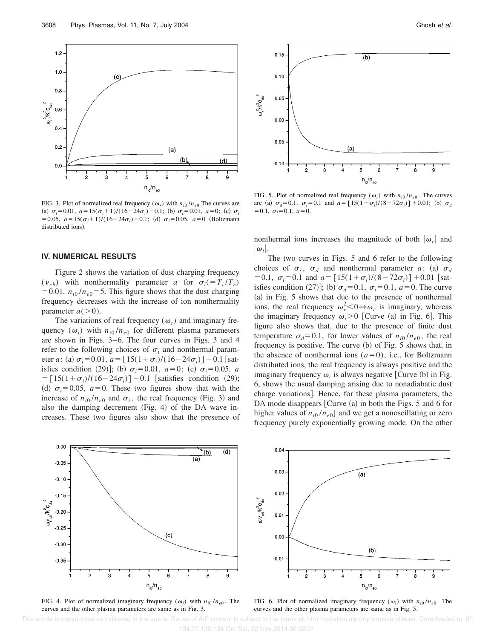

FIG. 3. Plot of normalized real frequency  $(\omega_r)$  with  $n_{i0}/n_{e0}$  The curves are (a)  $\sigma_i = 0.01$ ,  $a = 15(\sigma_i + 1)/(16-24\sigma_i) - 0.1$ ; (b)  $\sigma_i = 0.01$ ,  $a = 0$ ; (c)  $\sigma_i$  $= 0.05, a = 15(\sigma_i + 1)/(16-24\sigma_i) - 0.1;$  (d)  $\sigma_i = 0.05, a = 0$  (Boltzmann distributed ions).

## **IV. NUMERICAL RESULTS**

Figure 2 shows the variation of dust charging frequency  $(v_{ch})$  with nonthermality parameter *a* for  $\sigma_i (= T_i/T_e)$ = 0.01,  $n_{i0}$  / $n_{e0}$  = 5. This figure shows that the dust charging frequency decreases with the increase of ion nonthermality parameter  $a(>0)$ .

The variations of real frequency  $(\omega_r)$  and imaginary frequency  $(\omega_i)$  with  $n_{i0}/n_{e0}$  for different plasma parameters are shown in Figs. 3–6. The four curves in Figs. 3 and 4 refer to the following choices of  $\sigma_i$  and nonthermal parameter *a*: (a)  $\sigma_i = 0.01$ ,  $a = [15(1+\sigma_i)/(16-24\sigma_i)] - 0.1$  [satisfies condition (29)]; (b)  $\sigma_i = 0.01$ ,  $a = 0$ ; (c)  $\sigma_i = 0.05$ , *a*  $= [15(1+\sigma_i)/(16-24\sigma_i)] - 0.1$  [satisfies condition (29); (d)  $\sigma_i = 0.05$ ,  $a = 0$ . These two figures show that with the increase of  $n_{i0}/n_{e0}$  and  $\sigma_i$ , the real frequency (Fig. 3) and also the damping decrement  $(Fig. 4)$  of the DA wave increases. These two figures also show that the presence of



FIG. 5. Plot of normalized real frequency  $(\omega_r)$  with  $n_{i0}/n_{e0}$ . The curves are (a)  $\sigma_d = 0.1$ ,  $\sigma_i = 0.1$  and  $a = [15(1+\sigma_i)/(8-72\sigma_i)] + 0.01$ ; (b)  $\sigma_d$  $=0.1, \sigma_i=0.1, a=0.$ 

nonthermal ions increases the magnitude of both  $|\omega_r|$  and  $|\omega_i|.$ 

The two curves in Figs. 5 and 6 refer to the following choices of  $\sigma_i$ ,  $\sigma_d$  and nonthermal parameter *a*: (a)  $\sigma_d$  $= 0.1, \ \sigma_i = 0.1$  and  $a = [15(1+\sigma_i)/(8-72\sigma_i)] + 0.01$  [satisfies condition (27)]; (b)  $\sigma_d = 0.1$ ,  $\sigma_i = 0.1$ ,  $a = 0$ . The curve  $(a)$  in Fig. 5 shows that due to the presence of nonthermal ions, the real frequency  $\omega_r^2 < 0 \Rightarrow \omega_r$  is imaginary, whereas the imaginary frequency  $\omega_i > 0$  [Curve (a) in Fig. 6]. This figure also shows that, due to the presence of finite dust temperature  $\sigma_d$ =0.1, for lower values of  $n_{i0}/n_{e0}$ , the real frequency is positive. The curve  $(b)$  of Fig. 5 shows that, in the absence of nonthermal ions  $(a=0)$ , i.e., for Boltzmann distributed ions, the real frequency is always positive and the imaginary frequency  $\omega_i$  is always negative [Curve (b) in Fig. 6, shows the usual damping arising due to nonadiabatic dust charge variations]. Hence, for these plasma parameters, the DA mode disappears  $[Curve (a)$  in both the Figs. 5 and 6 for higher values of  $n_{i0}/n_{e0}$  and we get a nonoscillating or zero frequency purely exponentially growing mode. On the other



FIG. 4. Plot of normalized imaginary frequency  $(\omega_i)$  with  $n_{i0}/n_{e0}$ . The curves and the other plasma parameters are same as in Fig. 3.

FIG. 6. Plot of normalized imaginary frequency  $(\omega_i)$  with  $n_{i0}/n_{e0}$ . The curves and the other plasma parameters are same as in Fig. 5.

 This article is copyrighted as indicated in the article. Reuse of AIP content is subject to the terms at: http://scitation.aip.org/termsconditions. Downloaded to IP: 134.71.135.134 On: Sat, 22 Nov 2014 00:32:01